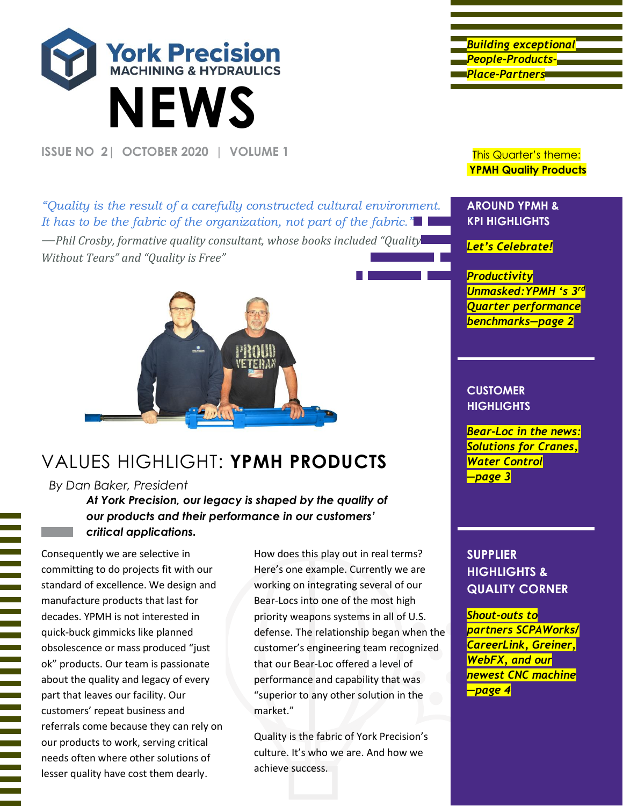

**ISSUE NO 2 | OCTOBER 2020 | VOLUME 1** This Quarter's theme:

*Building exceptional People-Products-Place-Partners* 

**YPMH Quality Products**

*["Quality is the result of a carefully constructed cultural environment.](https://www.inspiringquotes.us/quotes/aVvs_uWEGzaXc)  [It has to be the fabric of the organization, not part of the fabric."](https://www.inspiringquotes.us/quotes/aVvs_uWEGzaXc) —Phil Crosby, formative quality consultant, whose books included "Quality Without Tears" and "Quality is Free"*



## VALUES HIGHLIGHT: **YPMH PRODUCTS**

#### *By Dan Baker, President*

*At York Precision, our legacy is shaped by the quality of our products and their performance in our customers' critical applications.*

Consequently we are selective in committing to do projects fit with our standard of excellence. We design and manufacture products that last for decades. YPMH is not interested in quick-buck gimmicks like planned obsolescence or mass produced "just ok" products. Our team is passionate about the quality and legacy of every part that leaves our facility. Our customers' repeat business and referrals come because they can rely on our products to work, serving critical needs often where other solutions of lesser quality have cost them dearly.

How does this play out in real terms? Here's one example. Currently we are working on integrating several of our Bear-Locs into one of the most high priority weapons systems in all of U.S. defense. The relationship began when the customer's engineering team recognized that our Bear-Loc offered a level of performance and capability that was "superior to any other solution in the market."

Quality is the fabric of York Precision's culture. It's who we are. And how we achieve success.

#### **AROUND YPMH & KPI HIGHLIGHTS**

*Let's Celebrate!*

*Productivity Unmasked:YPMH 's 3 rd Quarter performance benchmarks—page 2*

#### **CUSTOMER HIGHLIGHTS**

*Bear-Loc in the news: Solutions for Cranes, Water Control —page 3*

### **SUPPLIER HIGHLIGHTS & QUALITY CORNER**

*Shout-outs to partners SCPAWorks/ CareerLink, Greiner, WebFX, and our newest CNC machine —page 4*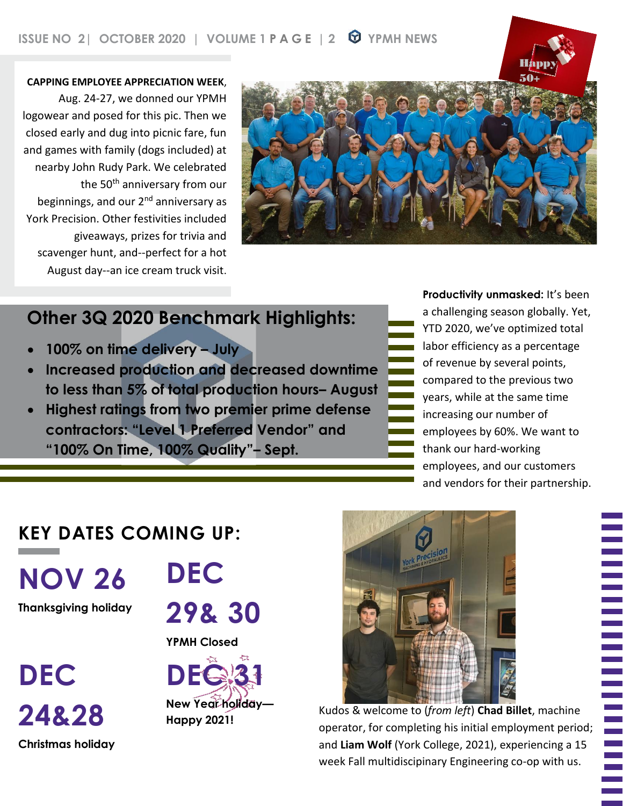50+ **CAPPING EMPLOYEE APPRECIATION WEEK**, Aug. 24-27, we donned our YPMH logowear and posed for this pic. Then we closed early and dug into picnic fare, fun and games with family (dogs included) at nearby John Rudy Park. We celebrated the 50<sup>th</sup> anniversary from our beginnings, and our 2<sup>nd</sup> anniversary as York Precision. Other festivities included giveaways, prizes for trivia and scavenger hunt, and--perfect for a hot August day--an ice cream truck visit.



# **Other 3Q 2020 Benchmark Highlights:**

- **100% on time delivery – July**
- **Increased production and decreased downtime to less than 5% of total production hours– August**
- **Highest ratings from two premier prime defense contractors: "Level 1 Preferred Vendor" and "100% On Time, 100% Quality"– Sept.**

**Productivity unmasked:** It's been a challenging season globally. Yet, YTD 2020, we've optimized total labor efficiency as a percentage of revenue by several points, compared to the previous two years, while at the same time increasing our number of employees by 60%. We want to thank our hard-working employees, and our customers and vendors for their partnership.

## **KEY DATES COMING UP:**

**NOV 26**

**Thanksgiving holiday**

**DEC 24&28 Christmas holiday** **DEC**

**29& 30**

**YPMH Closed**





Kudos & welcome to (*from left*) **Chad Billet**, machine operator, for completing his initial employment period; and **Liam Wolf** (York College, 2021), experiencing a 15 week Fall multidiscipinary Engineering co-op with us.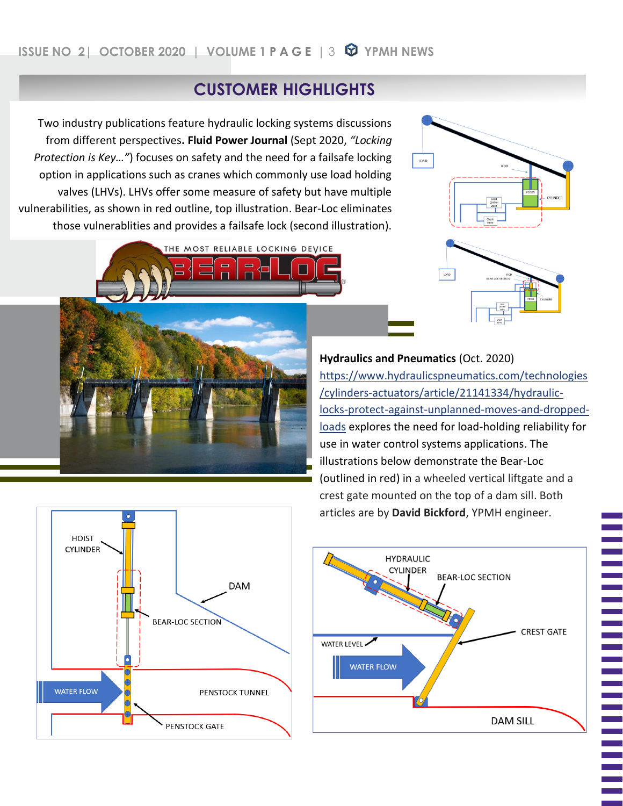### **CUSTOMER HIGHLIGHTS**

Two industry publications feature hydraulic locking systems discussions from different perspectives**. Fluid Power Journal** (Sept 2020, *"Locking Protection is Key…"*) focuses on safety and the need for a failsafe locking option in applications such as cranes which commonly use load holding valves (LHVs). LHVs offer some measure of safety but have multiple vulnerabilities, as shown in red outline, top illustration. Bear-Loc eliminates those vulnerablities and provides a failsafe lock (second illustration).



LOAD

[https://www.hydraulicspneumatics.com/technologies](https://www.hydraulicspneumatics.com/technologies/cylinders-actuators/article/21141334/hydraulic-locks-protect-against-unplanned-moves-and-dropped-loads) [/cylinders-actuators/article/21141334/hydraulic](https://www.hydraulicspneumatics.com/technologies/cylinders-actuators/article/21141334/hydraulic-locks-protect-against-unplanned-moves-and-dropped-loads)[locks-protect-against-unplanned-moves-and-dropped](https://www.hydraulicspneumatics.com/technologies/cylinders-actuators/article/21141334/hydraulic-locks-protect-against-unplanned-moves-and-dropped-loads)[loads](https://www.hydraulicspneumatics.com/technologies/cylinders-actuators/article/21141334/hydraulic-locks-protect-against-unplanned-moves-and-dropped-loads) explores the need for load-holding reliability for use in water control systems applications. The illustrations below demonstrate the Bear-Loc (outlined in red) in a wheeled vertical liftgate and a crest gate mounted on the top of a dam sill. Both articles are by **David Bickford**, YPMH engineer.